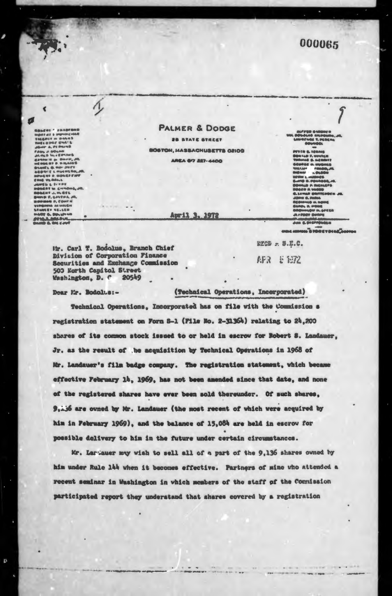## 000065

**Roscar (\* akademi)<br>1940: Anton Mondon<br>1940: Francis Mondo<br>2007: A. Primark<br>2007: A. Primark<br>1940: A. Primark<br>2008: M. Primark<br>2008: M. Primark<br>2008: M. Primark**  $\begin{array}{l} \partial_t A \otimes \mathbf{S} \, \mathbf{M}_t \in \mathbb{C} P^2(\mathbb{R}^d) \, \\ \partial_t A \otimes \mathbf{S} \, \mathbf{M}_t \in \mathbb{C} P^2(\mathbb{R}^d) \, \\ \partial_t A \otimes \mathbf{S} \otimes \mathbf{R} \otimes \mathbf{S} \otimes \mathbf{M}_t \otimes \mathbf{S} \otimes \mathbf{S} \otimes \mathbf{S} \otimes \mathbf{S} \otimes \mathbf{S} \otimes \mathbf{S} \otimes \mathbf{S} \otimes \mathbf{S} \otimes \mathbf{S} \$ 

 $\blacktriangleleft$ 

Ø

Đ

**PALMER & DODGE** 28 STATE STREET BOSTON, MASSACHUSETTS 02109 **AREA 67 227-4400** 

April 3. 1972

**BR.** 

**TECH 6. TEN 1990 AND THE USE**  $\overline{a}$ ... ... FM. OPERA

 $"$ 

RECD = 8.E.C.

APR 2 1972

Mr. Carl T. Bodolus, Branch Chief Division of Corporation Finance Securities and Exchange Commission 500 Earth Capitol Street Washington, D. C. **20549** 

Dear Mr. Bodolus:-

(Technical Operations, Incorporated)

Technical Operations, Incorporated has on file with the Commission s registration statement on Form 8-1 (Pile No. 2-31364) relating to 24,200 shares of its common stock issued to or held in escrow for Robert S. Landauer. Jr. as the result of the acquisition by Technical Operations in 1968 of Mr. Landauer's film badge company. The registration statement, which became effective February 14, 1969, has not been amended since that date, and none of the registered shares have ever been sold thereunder. Of such shares, S are owned by Mr. Landauer (the most recent of which were acquired by him in February 1969), and the balance of 15,084 are held in escrow for possible delivery to him in the future under certain circumstances.

Mr. Lartauer may wish to sell all of a part of the 9,136 shares owned by him under Rule 144 when it becomes effective. Partners of mine who attended a recent seminar in Washington in which members of the staff of the Commission participated report they understand that shares covered by a registration